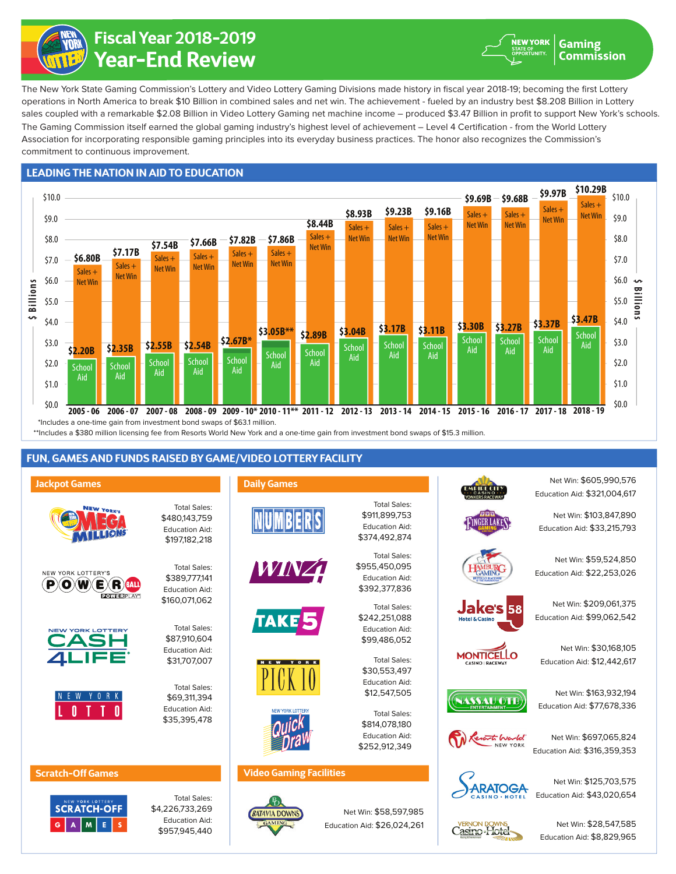

# **Year-End Review Fiscal Year 2018-2019**

The Gaming Commission itself earned the global gaming industry's highest level of achievement – Level 4 Certification - from the World Lottery Association for incorporating responsible gaming principles into its everyday business practices. The honor also recognizes the Commission's commitment to continuous improvement. The New York State Gaming Commission's Lottery and Video Lottery Gaming Divisions made history in fiscal year 2018-19; becoming the first Lottery operations in North America to break \$10 Billion in combined sales and net win. The achievement - fueled by an industry best \$8.208 Billion in Lottery sales coupled with a remarkable \$2.08 Billion in Video Lottery Gaming net machine income – produced \$3.47 Billion in profit to support New York's schools.

## **LEADING THE NATION IN AID TO EDUCATION**



\*\*Includes a \$380 million licensing fee from Resorts World New York and a one-time gain from investment bond swaps of \$15.3 million.

**Daily Games**

# **FUN, GAMES AND FUNDS RAISED BY GAME/VIDEO LOTTERY FACILITY**

Total Sales: \$480,143,759 Education Aid:

#### **Jackpot Games**







## \$197,182,218 Total Sales: \$389,777,141 Education Aid:

Total Sales: \$87,910,604 Education Aid: \$31,707,007

\$160,071,062

Total Sales: \$69,311,394 Education Aid: \$35,395,478





Total Sales: \$4,226,733,269 Education Aid: \$957,945,440











### **Video Gaming Facilities**



Total Sales: \$911,899,753 Education Aid: \$374,492,874

> \$955,450,095 Education Aid: \$392,377,836

Total Sales:

Total Sales: \$242,251,088 Education Aid: \$99,486,052

Total Sales: \$30,553,497 Education Aid: \$12,547,505

Total Sales:

Net Win: \$58,597,985 Education Aid: \$26,024,261

\$814,078,180 Education Aid: \$252,912,349





Net Win: \$28,547,585 Education Aid: \$8,829,965













NEW YORK

**Gaming** Commission

Net Win: \$30,168,105 Education Aid: \$12,442,617

Net Win: \$605,990,576 Education Aid: \$321,004,617

Net Win: \$103,847,890 Education Aid: \$33,215,793

Net Win: \$209,061,375

Net Win: \$59,524,850 Education Aid: \$22,253,026





Casino-Hotel

Education Aid: \$77,678,336